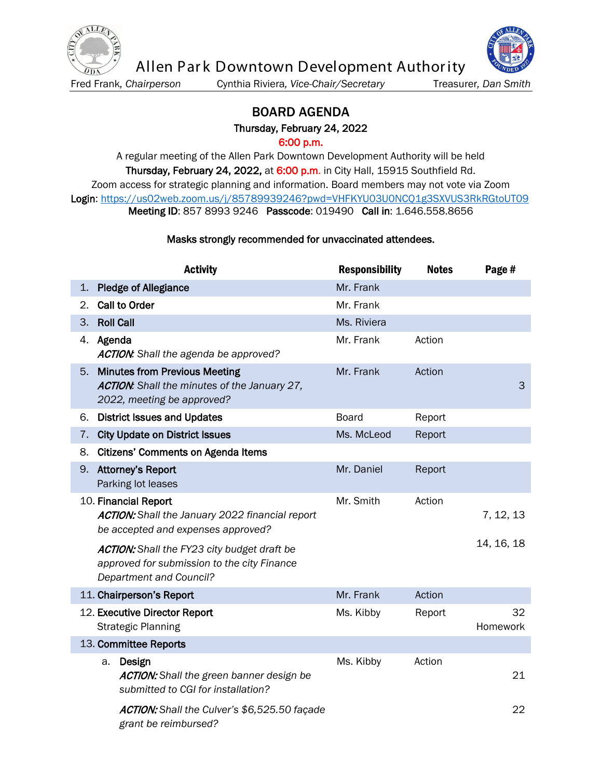

Allen Park Downtown Development Authority

Fred Frank*, Chairperson* Cynthia Riviera*, Vice-Chair/Secretary* Treasurer*, Dan Smith*



## BOARD AGENDA Thursday, February 24, 2022

6:00 p.m.

A regular meeting of the Allen Park Downtown Development Authority will be held Thursday, February 24, 2022, at 6:00 p.m. in City Hall, 15915 Southfield Rd. Zoom access for strategic planning and information. Board members may not vote via Zoom Login:<https://us02web.zoom.us/j/85789939246?pwd=VHFKYU03U0NCQ1g3SXVUS3RkRGtoUT09> Meeting ID: 857 8993 9246 Passcode: 019490 Call in: 1.646.558.8656

## Masks strongly recommended for unvaccinated attendees.

|    | <b>Activity</b>                                                                                                              | <b>Responsibility</b> | <b>Notes</b> | Page #         |
|----|------------------------------------------------------------------------------------------------------------------------------|-----------------------|--------------|----------------|
| 1. | <b>Pledge of Allegiance</b>                                                                                                  | Mr. Frank             |              |                |
| 2. | Call to Order                                                                                                                | Mr. Frank             |              |                |
| 3. | <b>Roll Call</b>                                                                                                             | Ms. Riviera           |              |                |
|    | 4. Agenda<br><b>ACTION:</b> Shall the agenda be approved?                                                                    | Mr. Frank             | Action       |                |
| 5. | <b>Minutes from Previous Meeting</b><br>ACTION: Shall the minutes of the January 27,<br>2022, meeting be approved?           | Mr. Frank             | Action       | 3              |
| 6. | <b>District Issues and Updates</b>                                                                                           | <b>Board</b>          | Report       |                |
| 7. | <b>City Update on District Issues</b>                                                                                        | Ms. McLeod            | Report       |                |
| 8. | <b>Citizens' Comments on Agenda Items</b>                                                                                    |                       |              |                |
| 9. | <b>Attorney's Report</b><br>Parking lot leases                                                                               | Mr. Daniel            | Report       |                |
|    | 10. Financial Report<br><b>ACTION:</b> Shall the January 2022 financial report<br>be accepted and expenses approved?         | Mr. Smith             | Action       | 7, 12, 13      |
|    | ACTION: Shall the FY23 city budget draft be<br>approved for submission to the city Finance<br><b>Department and Council?</b> |                       |              | 14, 16, 18     |
|    | 11. Chairperson's Report                                                                                                     | Mr. Frank             | Action       |                |
|    | 12. Executive Director Report<br><b>Strategic Planning</b>                                                                   | Ms. Kibby             | Report       | 32<br>Homework |
|    | 13. Committee Reports                                                                                                        |                       |              |                |
|    | Design<br>a.<br>ACTION: Shall the green banner design be<br>submitted to CGI for installation?                               | Ms. Kibby             | Action       | 21             |
|    | ACTION: Shall the Culver's \$6,525.50 façade<br>grant be reimbursed?                                                         |                       |              | 22             |